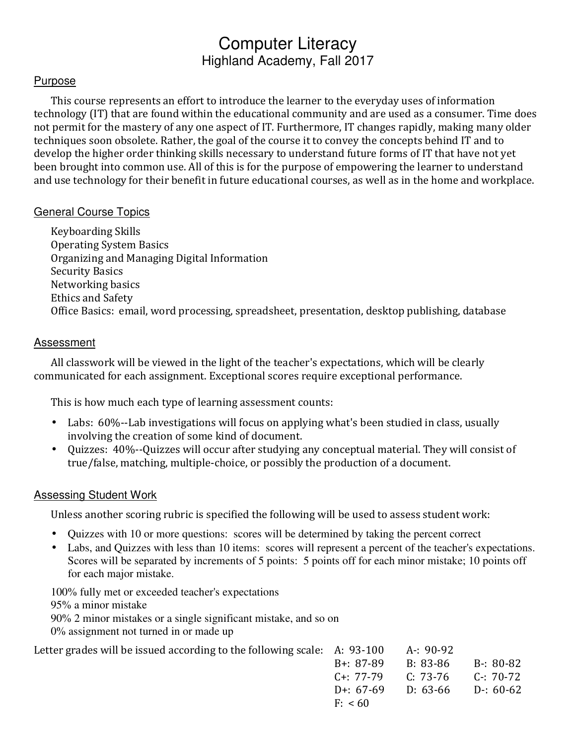# Computer Literacy Highland Academy, Fall 2017

## Purpose

This course represents an effort to introduce the learner to the everyday uses of information technology (IT) that are found within the educational community and are used as a consumer. Time does not permit for the mastery of any one aspect of IT. Furthermore, IT changes rapidly, making many older techniques soon obsolete. Rather, the goal of the course it to convey the concepts behind IT and to develop the higher order thinking skills necessary to understand future forms of IT that have not yet been brought into common use. All of this is for the purpose of empowering the learner to understand and use technology for their benefit in future educational courses, as well as in the home and workplace.

### General Course Topics

Keyboarding Skills Operating System Basics Organizing and Managing Digital Information Security Basics Networking basics Ethics and Safety Office Basics: email, word processing, spreadsheet, presentation, desktop publishing, database

### Assessment

All classwork will be viewed in the light of the teacher's expectations, which will be clearly communicated for each assignment. Exceptional scores require exceptional performance.

This is how much each type of learning assessment counts:

- Labs: 60%--Lab investigations will focus on applying what's been studied in class, usually involving the creation of some kind of document.
- Quizzes: 40%--Quizzes will occur after studying any conceptual material. They will consist of true/false, matching, multiple-choice, or possibly the production of a document.

### Assessing Student Work

Unless another scoring rubric is specified the following will be used to assess student work:

- Quizzes with 10 or more questions: scores will be determined by taking the percent correct
- Labs, and Quizzes with less than 10 items: scores will represent a percent of the teacher's expectations. Scores will be separated by increments of 5 points: 5 points off for each minor mistake; 10 points off for each major mistake.

100% fully met or exceeded teacher's expectations 95% a minor mistake 90% 2 minor mistakes or a single significant mistake, and so on

0% assignment not turned in or made up

| Letter grades will be issued according to the following scale: $\,$ A: 93-100 $\,$ |                                     | $A - 90 - 92$ |            |
|------------------------------------------------------------------------------------|-------------------------------------|---------------|------------|
|                                                                                    | B+: 87-89                           | - R: 83-86    | B-: 80-82  |
|                                                                                    | $C_{\pm}$ : 77-79 $C_{\pm}$ : 73-76 |               | $C: 70-72$ |
|                                                                                    | D+: $67-69$                         | D: 63-66      | D-: 60-62  |
|                                                                                    | F: 60                               |               |            |